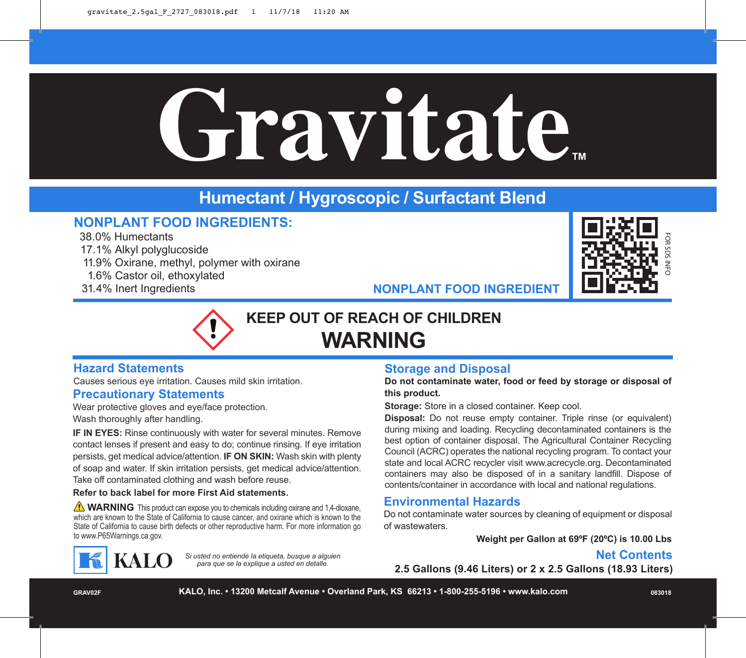# **Gravitate™**

# **Humectant / Hygroscopic / Surfactant Blend**

# **NONPLANT FOOD INGREDIENTS:**

38.0% Humectants

17.1% Alkyl polyglucoside

- 11.9% Oxirane, methyl, polymer with oxirane
- 1.6% Castor oil, ethoxylated
- 31.4% Inert Ingredients



**NONPLANT FOOD INGREDIENT**

# **KEEP OUT OF REACH OF CHILDREN WARNING**

#### **Hazard Statements**

Causes serious eye irritation. Causes mild skin irritation.

#### **Precautionary Statements**

Wear protective gloves and eye/face protection.

Wash thoroughly after handling.

**IF IN EYES:** Rinse continuously with water for several minutes. Remove contact lenses if present and easy to do; continue rinsing. If eye irritation persists, get medical advice/attention. **IF ON SKIN:** Wash skin with plenty of soap and water. If skin irritation persists, get medical advice/attention. Take off contaminated clothing and wash before reuse.

#### **Refer to back label for more First Aid statements.**

**WARNING** This product can expose you to chemicals including oxirane and 1,4-dioxane, which are known to the State of California to cause cancer, and oxirane which is known to the State of California to cause birth defects or other reproductive harm. For more information go to www.P65Warnings.ca.gov.

> *Si usted no entiende la etiqueta, busque a alguien para que se la explique a usted en detalle.*

#### **Storage and Disposal**

**Do not contaminate water, food or feed by storage or disposal of this product.**

**Storage:** Store in a closed container. Keep cool.

**Disposal:** Do not reuse empty container. Triple rinse (or equivalent) during mixing and loading. Recycling decontaminated containers is the best option of container disposal. The Agricultural Container Recycling Council (ACRC) operates the national recycling program. To contact your state and local ACRC recycler visit www.acrecycle.org. Decontaminated containers may also be disposed of in a sanitary landfill. Dispose of contents/container in accordance with local and national regulations.

#### **Environmental Hazards**

Do not contaminate water sources by cleaning of equipment or disposal of wastewaters.

**Weight per Gallon at 69ºF (20ºC) is 10.00 Lbs**

## **Net Contents**

**2.5 Gallons (9.46 Liters) or 2 x 2.5 Gallons (18.93 Liters)**

**KALO** 

**GRAV02F KALO, Inc. • 13200 Metcalf Avenue • Overland Park, KS 66213 • 1-800-255-5196 • www.kalo.com 083018**